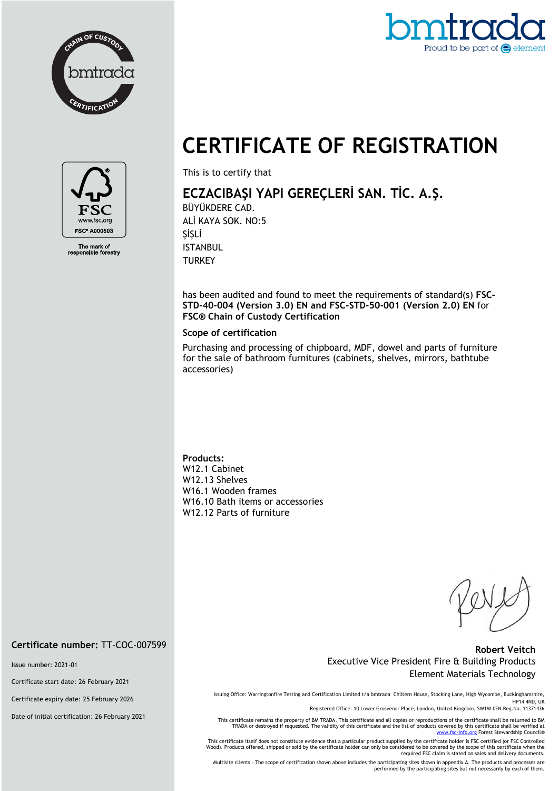



# **CERTIFICATE OF REGISTRATION**



The mark of<br>ponsible forestry

This is to certify that

## **ECZACIBAŞI YAPI GEREÇLERİ SAN. TİC. A.Ş.**

BÜYÜKDERE CAD. ALİ KAYA SOK. NO:5 ŞİŞLİ ISTANBUL **TURKEY** 

has been audited and found to meet the requirements of standard(s) **FSC-STD-40-004 (Version 3.0) EN and FSC-STD-50-001 (Version 2.0) EN** for **FSC® Chain of Custody Certification**

#### **Scope of certification**

Purchasing and processing of chipboard, MDF, dowel and parts of furniture for the sale of bathroom furnitures (cabinets, shelves, mirrors, bathtube accessories)

#### **Products:**

W12.1 Cabinet W12.13 Shelves W16.1 Wooden frames W16.10 Bath items or accessories W12.12 Parts of furniture

#### **Robert Veitch** Executive Vice President Fire & Building Products Element Materials Technology

Issuing Office: Warringtonfire Testing and Certification Limited t/a bmtrada Chiltern House, Stocking Lane, High Wycombe, Buckinghamshire, HP14 4ND, UK

Registered Office: 10 Lower Grosvenor Place, London, United Kingdom, SW1W 0EN Reg.No. 11371436

This certificate remains the property of BM TRADA. This certificate and all copies or reproductions of the certificate shall be returned to BM TRADA or destroyed if requested. The validity of this certificate and the list of products covered by this certificate shall be verified at<br>[www.fsc-info.org](http://www.fsc-info.org/) Forest Stewardship Council®

This certificate itself does not constitute evidence that a particular product supplied by the certificate holder is FSC certified (or FSC Controlled Wood). Products offered, shipped or sold by the certificate holder can only be considered to be covered by the scope of this certificate when the required FSC claim is stated on sales and delivery documents.

Multisite clients – The scope of certification shown above includes the participating sites shown in appendix A. The products and processes are performed by the participating sites but not necessarily by each of them.

**Certificate number:** TT-COC-007599

Issue number: 2021-01

Certificate start date: 26 February 2021

Certificate expiry date: 25 February 2026

Date of initial certification: 26 February 2021